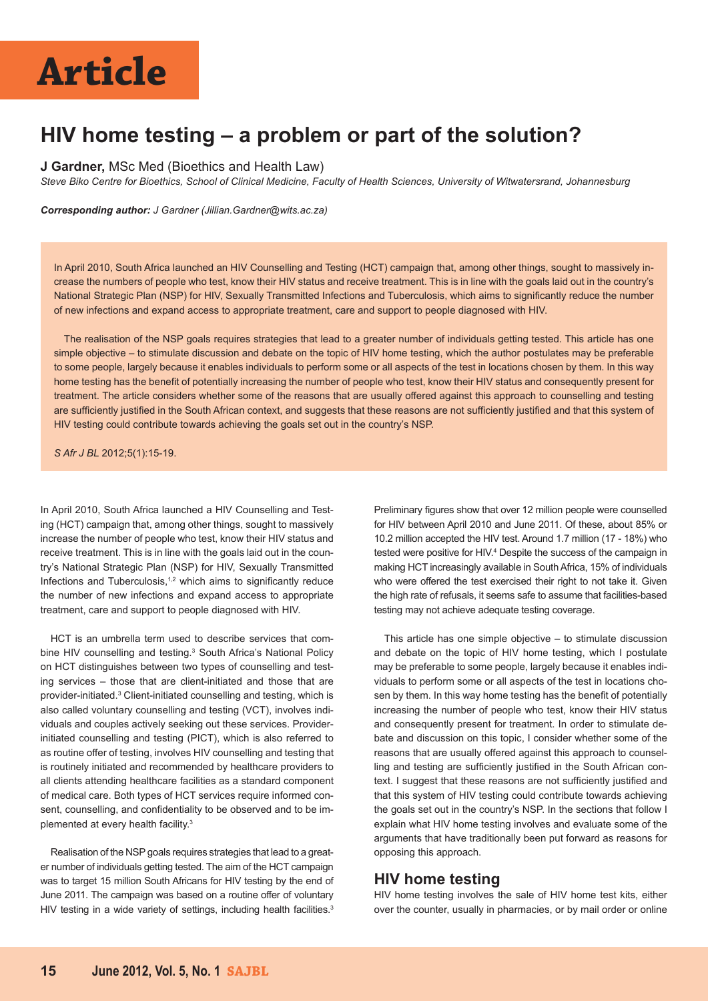## **Article**

### **HIV home testing – a problem or part of the solution?**

#### **J Gardner,** MSc Med (Bioethics and Health Law)

*Steve Biko Centre for Bioethics, School of Clinical Medicine, Faculty of Health Sciences, University of Witwatersrand, Johannesburg*

*Corresponding author: J Gardner (Jillian.Gardner@wits.ac.za)* 

In April 2010, South Africa launched an HIV Counselling and Testing (HCT) campaign that, among other things, sought to massively increase the numbers of people who test, know their HIV status and receive treatment. This is in line with the goals laid out in the country's National Strategic Plan (NSP) for HIV, Sexually Transmitted Infections and Tuberculosis, which aims to significantly reduce the number of new infections and expand access to appropriate treatment, care and support to people diagnosed with HIV.

The realisation of the NSP goals requires strategies that lead to a greater number of individuals getting tested. This article has one simple objective – to stimulate discussion and debate on the topic of HIV home testing, which the author postulates may be preferable to some people, largely because it enables individuals to perform some or all aspects of the test in locations chosen by them. In this way home testing has the benefit of potentially increasing the number of people who test, know their HIV status and consequently present for treatment. The article considers whether some of the reasons that are usually offered against this approach to counselling and testing are sufficiently justified in the South African context, and suggests that these reasons are not sufficiently justified and that this system of HIV testing could contribute towards achieving the goals set out in the country's NSP.

*S Afr J BL* 2012;5(1):15-19.

In April 2010, South Africa launched a HIV Counselling and Testing (HCT) campaign that, among other things, sought to massively increase the number of people who test, know their HIV status and receive treatment. This is in line with the goals laid out in the country's National Strategic Plan (NSP) for HIV, Sexually Transmitted Infections and Tuberculosis, $1,2$  which aims to significantly reduce the number of new infections and expand access to appropriate treatment, care and support to people diagnosed with HIV.

HCT is an umbrella term used to describe services that combine HIV counselling and testing.<sup>3</sup> South Africa's National Policy on HCT distinguishes between two types of counselling and testing services – those that are client-initiated and those that are provider-initiated.<sup>3</sup> Client-initiated counselling and testing, which is also called voluntary counselling and testing (VCT), involves individuals and couples actively seeking out these services. Providerinitiated counselling and testing (PICT), which is also referred to as routine offer of testing, involves HIV counselling and testing that is routinely initiated and recommended by healthcare providers to all clients attending healthcare facilities as a standard component of medical care. Both types of HCT services require informed consent, counselling, and confidentiality to be observed and to be implemented at every health facility.<sup>3</sup>

Realisation of the NSP goals requires strategies that lead to a greater number of individuals getting tested. The aim of the HCT campaign was to target 15 million South Africans for HIV testing by the end of June 2011. The campaign was based on a routine offer of voluntary HIV testing in a wide variety of settings, including health facilities.<sup>3</sup> Preliminary figures show that over 12 million people were counselled for HIV between April 2010 and June 2011. Of these, about 85% or 10.2 million accepted the HIV test. Around 1.7 million (17 - 18%) who tested were positive for HIV.<sup>4</sup> Despite the success of the campaign in making HCT increasingly available in South Africa, 15% of individuals who were offered the test exercised their right to not take it. Given the high rate of refusals, it seems safe to assume that facilities-based testing may not achieve adequate testing coverage.

This article has one simple objective – to stimulate discussion and debate on the topic of HIV home testing, which I postulate may be preferable to some people, largely because it enables individuals to perform some or all aspects of the test in locations chosen by them. In this way home testing has the benefit of potentially increasing the number of people who test, know their HIV status and consequently present for treatment. In order to stimulate debate and discussion on this topic, I consider whether some of the reasons that are usually offered against this approach to counselling and testing are sufficiently justified in the South African context. I suggest that these reasons are not sufficiently justified and that this system of HIV testing could contribute towards achieving the goals set out in the country's NSP. In the sections that follow I explain what HIV home testing involves and evaluate some of the arguments that have traditionally been put forward as reasons for opposing this approach.

#### **HIV home testing**

HIV home testing involves the sale of HIV home test kits, either over the counter, usually in pharmacies, or by mail order or online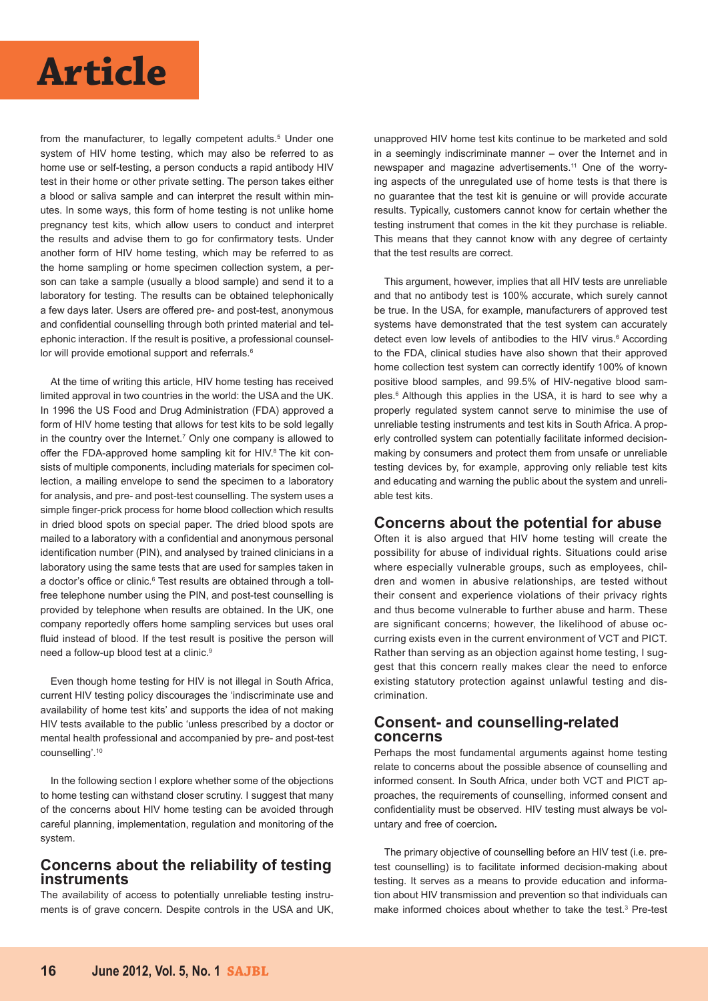

from the manufacturer, to legally competent adults.<sup>5</sup> Under one system of HIV home testing, which may also be referred to as home use or self-testing, a person conducts a rapid antibody HIV test in their home or other private setting. The person takes either a blood or saliva sample and can interpret the result within minutes. In some ways, this form of home testing is not unlike home pregnancy test kits, which allow users to conduct and interpret the results and advise them to go for confirmatory tests. Under another form of HIV home testing, which may be referred to as the home sampling or home specimen collection system, a person can take a sample (usually a blood sample) and send it to a laboratory for testing. The results can be obtained telephonically a few days later. Users are offered pre- and post-test, anonymous and confidential counselling through both printed material and telephonic interaction. If the result is positive, a professional counsellor will provide emotional support and referrals.<sup>6</sup>

At the time of writing this article, HIV home testing has received limited approval in two countries in the world: the USA and the UK. In 1996 the US Food and Drug Administration (FDA) approved a form of HIV home testing that allows for test kits to be sold legally in the country over the Internet.<sup>7</sup> Only one company is allowed to offer the FDA-approved home sampling kit for HIV.<sup>8</sup> The kit consists of multiple components, including materials for specimen collection, a mailing envelope to send the specimen to a laboratory for analysis, and pre- and post-test counselling. The system uses a simple finger-prick process for home blood collection which results in dried blood spots on special paper. The dried blood spots are mailed to a laboratory with a confidential and anonymous personal identification number (PIN), and analysed by trained clinicians in a laboratory using the same tests that are used for samples taken in a doctor's office or clinic.<sup>6</sup> Test results are obtained through a tollfree telephone number using the PIN, and post-test counselling is provided by telephone when results are obtained. In the UK, one company reportedly offers home sampling services but uses oral fluid instead of blood. If the test result is positive the person will need a follow-up blood test at a clinic.<sup>9</sup>

Even though home testing for HIV is not illegal in South Africa, current HIV testing policy discourages the 'indiscriminate use and availability of home test kits' and supports the idea of not making HIV tests available to the public 'unless prescribed by a doctor or mental health professional and accompanied by pre- and post-test counselling'.10

In the following section I explore whether some of the objections to home testing can withstand closer scrutiny. I suggest that many of the concerns about HIV home testing can be avoided through careful planning, implementation, regulation and monitoring of the system.

#### **Concerns about the reliability of testing instruments**

The availability of access to potentially unreliable testing instruments is of grave concern. Despite controls in the USA and UK, unapproved HIV home test kits continue to be marketed and sold in a seemingly indiscriminate manner – over the Internet and in newspaper and magazine advertisements.11 One of the worrying aspects of the unregulated use of home tests is that there is no guarantee that the test kit is genuine or will provide accurate results. Typically, customers cannot know for certain whether the testing instrument that comes in the kit they purchase is reliable. This means that they cannot know with any degree of certainty that the test results are correct.

This argument, however, implies that all HIV tests are unreliable and that no antibody test is 100% accurate, which surely cannot be true. In the USA, for example, manufacturers of approved test systems have demonstrated that the test system can accurately detect even low levels of antibodies to the HIV virus.<sup>6</sup> According to the FDA, clinical studies have also shown that their approved home collection test system can correctly identify 100% of known positive blood samples, and 99.5% of HIV-negative blood samples.6 Although this applies in the USA, it is hard to see why a properly regulated system cannot serve to minimise the use of unreliable testing instruments and test kits in South Africa. A properly controlled system can potentially facilitate informed decisionmaking by consumers and protect them from unsafe or unreliable testing devices by, for example, approving only reliable test kits and educating and warning the public about the system and unreliable test kits.

#### **Concerns about the potential for abuse**

Often it is also argued that HIV home testing will create the possibility for abuse of individual rights. Situations could arise where especially vulnerable groups, such as employees, children and women in abusive relationships, are tested without their consent and experience violations of their privacy rights and thus become vulnerable to further abuse and harm. These are significant concerns; however, the likelihood of abuse occurring exists even in the current environment of VCT and PICT. Rather than serving as an objection against home testing, I suggest that this concern really makes clear the need to enforce existing statutory protection against unlawful testing and discrimination.

#### **Consent- and counselling-related concerns**

Perhaps the most fundamental arguments against home testing relate to concerns about the possible absence of counselling and informed consent. In South Africa, under both VCT and PICT approaches, the requirements of counselling, informed consent and confidentiality must be observed. HIV testing must always be voluntary and free of coercion*.*

The primary objective of counselling before an HIV test (i.e. pretest counselling) is to facilitate informed decision-making about testing. It serves as a means to provide education and information about HIV transmission and prevention so that individuals can make informed choices about whether to take the test.<sup>3</sup> Pre-test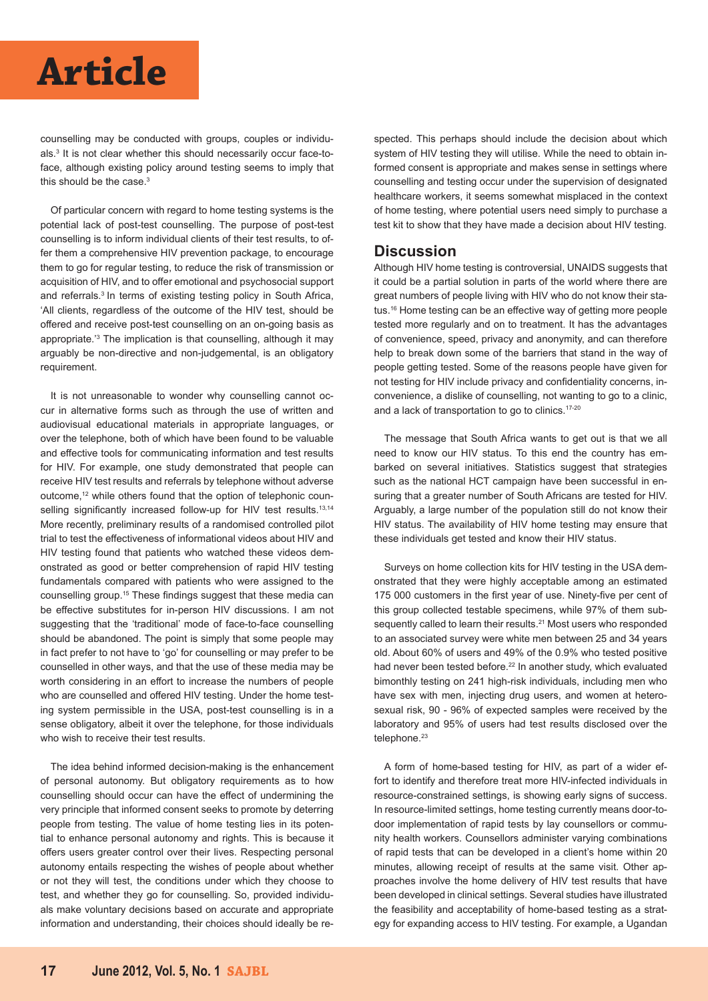### **Article**

counselling may be conducted with groups, couples or individuals.3 It is not clear whether this should necessarily occur face-toface, although existing policy around testing seems to imply that this should be the case.<sup>3</sup>

Of particular concern with regard to home testing systems is the potential lack of post-test counselling. The purpose of post-test counselling is to inform individual clients of their test results, to offer them a comprehensive HIV prevention package, to encourage them to go for regular testing, to reduce the risk of transmission or acquisition of HIV, and to offer emotional and psychosocial support and referrals.<sup>3</sup> In terms of existing testing policy in South Africa, 'All clients, regardless of the outcome of the HIV test, should be offered and receive post-test counselling on an on-going basis as appropriate.'3 The implication is that counselling, although it may arguably be non-directive and non-judgemental, is an obligatory requirement.

It is not unreasonable to wonder why counselling cannot occur in alternative forms such as through the use of written and audiovisual educational materials in appropriate languages, or over the telephone, both of which have been found to be valuable and effective tools for communicating information and test results for HIV. For example, one study demonstrated that people can receive HIV test results and referrals by telephone without adverse outcome,<sup>12</sup> while others found that the option of telephonic counselling significantly increased follow-up for HIV test results.<sup>13,14</sup> More recently, preliminary results of a randomised controlled pilot trial to test the effectiveness of informational videos about HIV and HIV testing found that patients who watched these videos demonstrated as good or better comprehension of rapid HIV testing fundamentals compared with patients who were assigned to the counselling group.15 These findings suggest that these media can be effective substitutes for in-person HIV discussions. I am not suggesting that the 'traditional' mode of face-to-face counselling should be abandoned. The point is simply that some people may in fact prefer to not have to 'go' for counselling or may prefer to be counselled in other ways, and that the use of these media may be worth considering in an effort to increase the numbers of people who are counselled and offered HIV testing. Under the home testing system permissible in the USA, post-test counselling is in a sense obligatory, albeit it over the telephone, for those individuals who wish to receive their test results.

The idea behind informed decision-making is the enhancement of personal autonomy. But obligatory requirements as to how counselling should occur can have the effect of undermining the very principle that informed consent seeks to promote by deterring people from testing. The value of home testing lies in its potential to enhance personal autonomy and rights. This is because it offers users greater control over their lives. Respecting personal autonomy entails respecting the wishes of people about whether or not they will test, the conditions under which they choose to test, and whether they go for counselling. So, provided individuals make voluntary decisions based on accurate and appropriate information and understanding, their choices should ideally be respected. This perhaps should include the decision about which system of HIV testing they will utilise. While the need to obtain informed consent is appropriate and makes sense in settings where counselling and testing occur under the supervision of designated healthcare workers, it seems somewhat misplaced in the context of home testing, where potential users need simply to purchase a test kit to show that they have made a decision about HIV testing.

#### **Discussion**

Although HIV home testing is controversial, UNAIDS suggests that it could be a partial solution in parts of the world where there are great numbers of people living with HIV who do not know their status.16 Home testing can be an effective way of getting more people tested more regularly and on to treatment. It has the advantages of convenience, speed, privacy and anonymity, and can therefore help to break down some of the barriers that stand in the way of people getting tested. Some of the reasons people have given for not testing for HIV include privacy and confidentiality concerns, inconvenience, a dislike of counselling, not wanting to go to a clinic, and a lack of transportation to go to clinics.17-20

The message that South Africa wants to get out is that we all need to know our HIV status. To this end the country has embarked on several initiatives. Statistics suggest that strategies such as the national HCT campaign have been successful in ensuring that a greater number of South Africans are tested for HIV. Arguably, a large number of the population still do not know their HIV status. The availability of HIV home testing may ensure that these individuals get tested and know their HIV status.

Surveys on home collection kits for HIV testing in the USA demonstrated that they were highly acceptable among an estimated 175 000 customers in the first year of use. Ninety-five per cent of this group collected testable specimens, while 97% of them subsequently called to learn their results.<sup>21</sup> Most users who responded to an associated survey were white men between 25 and 34 years old. About 60% of users and 49% of the 0.9% who tested positive had never been tested before.<sup>22</sup> In another study, which evaluated bimonthly testing on 241 high-risk individuals, including men who have sex with men, injecting drug users, and women at heterosexual risk, 90 - 96% of expected samples were received by the laboratory and 95% of users had test results disclosed over the telephone.<sup>23</sup>

A form of home-based testing for HIV, as part of a wider effort to identify and therefore treat more HIV-infected individuals in resource-constrained settings, is showing early signs of success. In resource-limited settings, home testing currently means door-todoor implementation of rapid tests by lay counsellors or community health workers. Counsellors administer varying combinations of rapid tests that can be developed in a client's home within 20 minutes, allowing receipt of results at the same visit. Other approaches involve the home delivery of HIV test results that have been developed in clinical settings. Several studies have illustrated the feasibility and acceptability of home-based testing as a strategy for expanding access to HIV testing. For example, a Ugandan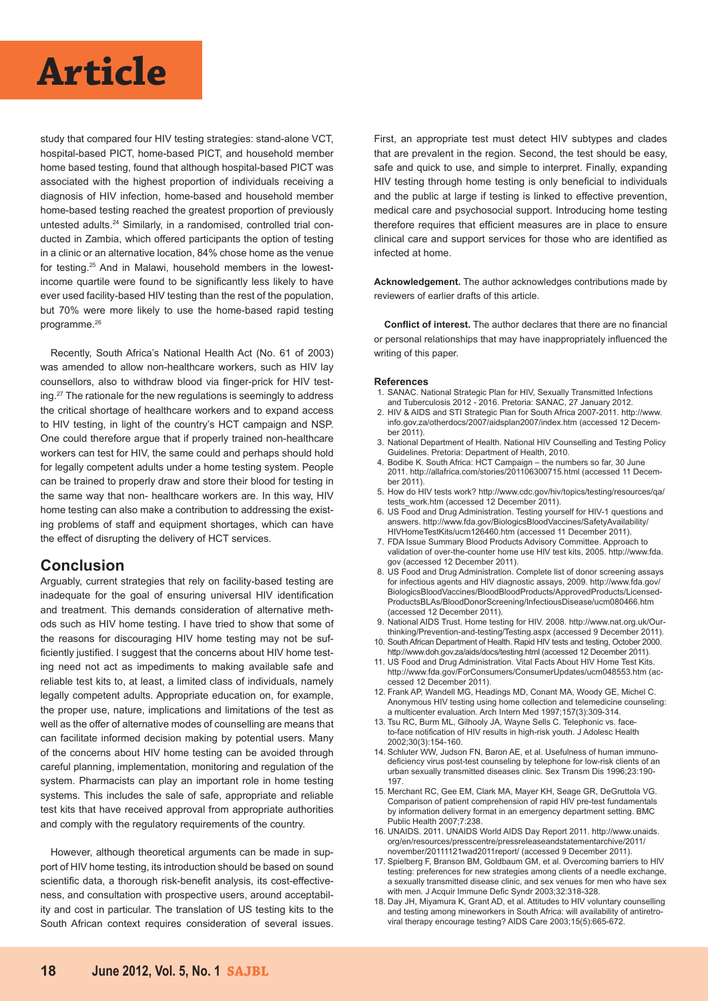# **Article Article**

study that compared four HIV testing strategies: stand-alone VCT, hospital-based PICT, home-based PICT, and household member home based testing, found that although hospital-based PICT was associated with the highest proportion of individuals receiving a diagnosis of HIV infection, home-based and household member home-based testing reached the greatest proportion of previously untested adults.<sup>24</sup> Similarly, in a randomised, controlled trial conducted in Zambia, which offered participants the option of testing in a clinic or an alternative location, 84% chose home as the venue for testing.25 And in Malawi, household members in the lowestincome quartile were found to be significantly less likely to have ever used facility-based HIV testing than the rest of the population, but 70% were more likely to use the home-based rapid testing programme.<sup>26</sup>

Recently, South Africa's National Health Act (No. 61 of 2003) was amended to allow non-healthcare workers, such as HIV lay counsellors, also to withdraw blood via finger-prick for HIV testing.<sup>27</sup> The rationale for the new regulations is seemingly to address the critical shortage of healthcare workers and to expand access to HIV testing, in light of the country's HCT campaign and NSP. One could therefore argue that if properly trained non-healthcare workers can test for HIV, the same could and perhaps should hold for legally competent adults under a home testing system. People can be trained to properly draw and store their blood for testing in the same way that non- healthcare workers are. In this way, HIV home testing can also make a contribution to addressing the existing problems of staff and equipment shortages, which can have the effect of disrupting the delivery of HCT services.

#### **Conclusion**

Arguably, current strategies that rely on facility-based testing are inadequate for the goal of ensuring universal HIV identification and treatment. This demands consideration of alternative methods such as HIV home testing. I have tried to show that some of the reasons for discouraging HIV home testing may not be sufficiently justified. I suggest that the concerns about HIV home testing need not act as impediments to making available safe and reliable test kits to, at least, a limited class of individuals, namely legally competent adults. Appropriate education on, for example, the proper use, nature, implications and limitations of the test as well as the offer of alternative modes of counselling are means that can facilitate informed decision making by potential users. Many of the concerns about HIV home testing can be avoided through careful planning, implementation, monitoring and regulation of the system. Pharmacists can play an important role in home testing systems. This includes the sale of safe, appropriate and reliable test kits that have received approval from appropriate authorities and comply with the regulatory requirements of the country.

However, although theoretical arguments can be made in support of HIV home testing, its introduction should be based on sound scientific data, a thorough risk-benefit analysis, its cost-effectiveness, and consultation with prospective users, around acceptability and cost in particular. The translation of US testing kits to the South African context requires consideration of several issues.

First, an appropriate test must detect HIV subtypes and clades that are prevalent in the region. Second, the test should be easy, safe and quick to use, and simple to interpret. Finally, expanding HIV testing through home testing is only beneficial to individuals and the public at large if testing is linked to effective prevention, medical care and psychosocial support. Introducing home testing therefore requires that efficient measures are in place to ensure clinical care and support services for those who are identified as infected at home.

**Acknowledgement.** The author acknowledges contributions made by reviewers of earlier drafts of this article.

**Conflict of interest.** The author declares that there are no financial or personal relationships that may have inappropriately influenced the writing of this paper.

#### **References**

- 1. SANAC. National Strategic Plan for HIV, Sexually Transmitted Infections and Tuberculosis 2012 - 2016. Pretoria: SANAC, 27 January 2012.
- 2. HIV & AIDS and STI Strategic Plan for South Africa 2007-2011. http://www. info.gov.za/otherdocs/2007/aidsplan2007/index.htm (accessed 12 December 2011).
- 3. National Department of Health. National HIV Counselling and Testing Policy Guidelines. Pretoria: Department of Health, 2010.
- 4. Bodibe K. South Africa: HCT Campaign the numbers so far, 30 June 2011. http://allafrica.com/stories/201106300715.html (accessed 11 December 2011).
- 5. How do HIV tests work? http://www.cdc.gov/hiv/topics/testing/resources/qa/ tests\_work.htm (accessed 12 December 2011).
- 6. US Food and Drug Administration. Testing yourself for HIV-1 questions and answers. http://www.fda.gov/BiologicsBloodVaccines/SafetyAvailability/ HIVHomeTestKits/ucm126460.htm (accessed 11 December 2011).
- 7. FDA Issue Summary Blood Products Advisory Committee. Approach to validation of over-the-counter home use HIV test kits, 2005. http://www.fda. gov (accessed 12 December 2011).
- 8. US Food and Drug Administration. Complete list of donor screening assays for infectious agents and HIV diagnostic assays, 2009. http://www.fda.gov/ BiologicsBloodVaccines/BloodBloodProducts/ApprovedProducts/Licensed-ProductsBLAs/BloodDonorScreening/InfectiousDisease/ucm080466.htm (accessed 12 December 2011).
- 9. National AIDS Trust. Home testing for HIV. 2008. http://www.nat.org.uk/Ourthinking/Prevention-and-testing/Testing.aspx (accessed 9 December 2011).
- 10. South African Department of Health. Rapid HIV tests and testing, October 2000. http://www.doh.gov.za/aids/docs/testing.html (accessed 12 December 2011). 11. US Food and Drug Administration. Vital Facts About HIV Home Test Kits.
- http://www.fda.gov/ForConsumers/ConsumerUpdates/ucm048553.htm (accessed 12 December 2011).
- 12. Frank AP, Wandell MG, Headings MD, Conant MA, Woody GE, Michel C. Anonymous HIV testing using home collection and telemedicine counseling: a multicenter evaluation. Arch Intern Med 1997;157(3):309-314.
- 13. Tsu RC, Burm ML, Gilhooly JA, Wayne Sells C. Telephonic vs. faceto-face notification of HIV results in high-risk youth. J Adolesc Health 2002;30(3):154-160.
- 14. Schluter WW, Judson FN, Baron AE, et al. Usefulness of human immunodeficiency virus post-test counseling by telephone for low-risk clients of an urban sexually transmitted diseases clinic. Sex Transm Dis 1996;23:190- 197.
- 15. Merchant RC, Gee EM, Clark MA, Mayer KH, Seage GR, DeGruttola VG. Comparison of patient comprehension of rapid HIV pre-test fundamentals by information delivery format in an emergency department setting. BMC Public Health 2007;7:238.
- 16. UNAIDS. 2011. UNAIDS World AIDS Day Report 2011. http://www.unaids. org/en/resources/presscentre/pressreleaseandstatementarchive/2011/ november/20111121wad2011report/ (accessed 9 December 2011).
- 17. Spielberg F, Branson BM, Goldbaum GM, et al. Overcoming barriers to HIV testing: preferences for new strategies among clients of a needle exchange, a sexually transmitted disease clinic, and sex venues for men who have sex with men*.* J Acquir Immune Defic Syndr 2003;32:318-328.
- 18. Day JH, Miyamura K, Grant AD, et al. Attitudes to HIV voluntary counselling and testing among mineworkers in South Africa: will availability of antiretroviral therapy encourage testing? AIDS Care 2003;15(5):665-672.